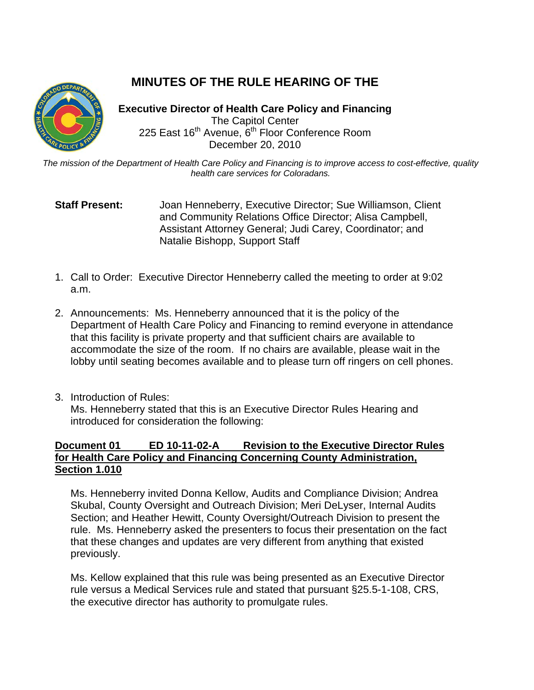## **MINUTES OF THE RULE HEARING OF THE**

**Executive Director of Health Care Policy and Financing** The Capitol Center 225 East 16<sup>th</sup> Avenue, 6<sup>th</sup> Floor Conference Room December 20, 2010

*The mission of the Department of Health Care Policy and Financing is to improve access to cost-effective, quality health care services for Coloradans.*

## **Staff Present:** Joan Henneberry, Executive Director; Sue Williamson, Client and Community Relations Office Director; Alisa Campbell, Assistant Attorney General; Judi Carey, Coordinator; and Natalie Bishopp, Support Staff

- 1. Call to Order: Executive Director Henneberry called the meeting to order at 9:02 a.m.
- 2. Announcements: Ms. Henneberry announced that it is the policy of the Department of Health Care Policy and Financing to remind everyone in attendance that this facility is private property and that sufficient chairs are available to accommodate the size of the room. If no chairs are available, please wait in the lobby until seating becomes available and to please turn off ringers on cell phones.
- 3. Introduction of Rules:

Ms. Henneberry stated that this is an Executive Director Rules Hearing and introduced for consideration the following:

## **Document 01 ED 10-11-02-A Revision to the Executive Director Rules for Health Care Policy and Financing Concerning County Administration, Section 1.010**

Ms. Henneberry invited Donna Kellow, Audits and Compliance Division; Andrea Skubal, County Oversight and Outreach Division; Meri DeLyser, Internal Audits Section; and Heather Hewitt, County Oversight/Outreach Division to present the rule. Ms. Henneberry asked the presenters to focus their presentation on the fact that these changes and updates are very different from anything that existed previously.

Ms. Kellow explained that this rule was being presented as an Executive Director rule versus a Medical Services rule and stated that pursuant §25.5-1-108, CRS, the executive director has authority to promulgate rules.